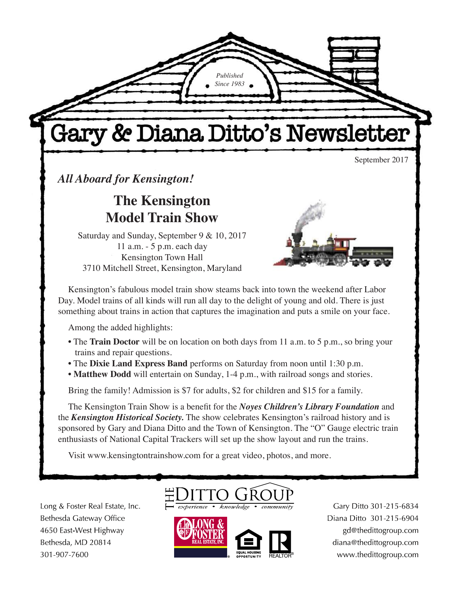Gary & Diana Ditto's Newsletter

*Published Since 1983*

September 2017

*All Aboard for Kensington!*

**The Kensington Model Train Show**

Saturday and Sunday, September 9 & 10, 2017 11 a.m. - 5 p.m. each day Kensington Town Hall 3710 Mitchell Street, Kensington, Maryland



Kensington's fabulous model train show steams back into town the weekend after Labor Day. Model trains of all kinds will run all day to the delight of young and old. There is just something about trains in action that captures the imagination and puts a smile on your face.

Among the added highlights:

- The **Train Doctor** will be on location on both days from 11 a.m. to 5 p.m., so bring your trains and repair questions.
- The **Dixie Land Express Band** performs on Saturday from noon until 1:30 p.m.
- **Matthew Dodd** will entertain on Sunday, 1-4 p.m., with railroad songs and stories.

Bring the family! Admission is \$7 for adults, \$2 for children and \$15 for a family.

The Kensington Train Show is a benefit for the *Noyes Children's Library Foundation* and the *Kensington Historical Society.* The show celebrates Kensington's railroad history and is sponsored by Gary and Diana Ditto and the Town of Kensington. The "O" Gauge electric train enthusiasts of National Capital Trackers will set up the show layout and run the trains.

Visit www.kensingtontrainshow.com for a great video, photos, and more.

Long & Foster Real Estate, Inc. Bethesda Gateway Office 4650 East-West Highway Bethesda, MD 20814 301-907-7600





Gary Ditto 301-215-6834 Diana Ditto 301-215-6904 gd@thedittogroup.com diana@thedittogroup.com www.thedittogroup.com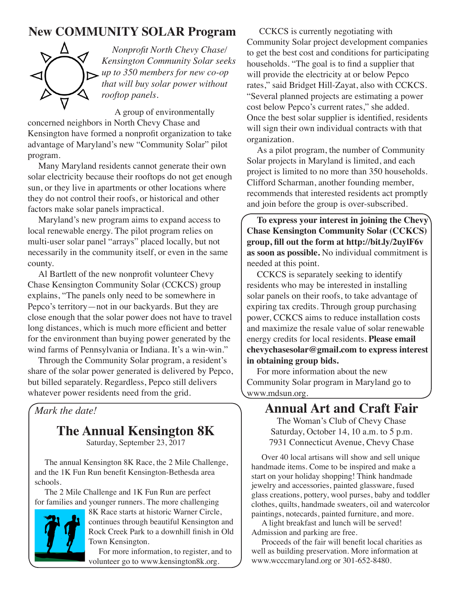# **New COMMUNITY SOLAR Program**



*Nonprofit North Chevy Chase/ Kensington Community Solar seeks up to 350 members for new co-op that will buy solar power without rooftop panels.*

A group of environmentally

concerned neighbors in North Chevy Chase and Kensington have formed a nonprofit organization to take advantage of Maryland's new "Community Solar" pilot program.

Many Maryland residents cannot generate their own solar electricity because their rooftops do not get enough sun, or they live in apartments or other locations where they do not control their roofs, or historical and other factors make solar panels impractical.

Maryland's new program aims to expand access to local renewable energy. The pilot program relies on multi-user solar panel "arrays" placed locally, but not necessarily in the community itself, or even in the same county.

Al Bartlett of the new nonprofit volunteer Chevy Chase Kensington Community Solar (CCKCS) group explains, "The panels only need to be somewhere in Pepco's territory—not in our backyards. But they are close enough that the solar power does not have to travel long distances, which is much more efficient and better for the environment than buying power generated by the wind farms of Pennsylvania or Indiana. It's a win-win."

Through the Community Solar program, a resident's share of the solar power generated is delivered by Pepco, but billed separately. Regardless, Pepco still delivers whatever power residents need from the grid.

*Mark the date!*

# **The Annual Kensington 8K**

Saturday, September 23, 2017

The annual Kensington 8K Race, the 2 Mile Challenge, and the 1K Fun Run benefit Kensington-Bethesda area schools.

The 2 Mile Challenge and 1K Fun Run are perfect for families and younger runners. The more challenging



8K Race starts at historic Warner Circle, continues through beautiful Kensington and Rock Creek Park to a downhill finish in Old Town Kensington.

For more information, to register, and to volunteer go to www.kensington8k.org.

 CCKCS is currently negotiating with Community Solar project development companies to get the best cost and conditions for participating households. "The goal is to find a supplier that will provide the electricity at or below Pepco rates," said Bridget Hill-Zayat, also with CCKCS. "Several planned projects are estimating a power cost below Pepco's current rates," she added. Once the best solar supplier is identified, residents will sign their own individual contracts with that organization.

As a pilot program, the number of Community Solar projects in Maryland is limited, and each project is limited to no more than 350 households. Clifford Scharman, another founding member, recommends that interested residents act promptly and join before the group is over-subscribed.

**To express your interest in joining the Chevy Chase Kensington Community Solar (CCKCS) group, fill out the form at http://bit.ly/2uylF6v as soon as possible.** No individual commitment is needed at this point.

CCKCS is separately seeking to identify residents who may be interested in installing solar panels on their roofs, to take advantage of expiring tax credits. Through group purchasing power, CCKCS aims to reduce installation costs and maximize the resale value of solar renewable energy credits for local residents. **Please email chevychasesolar@gmail.com to express interest in obtaining group bids.** 

For more information about the new Community Solar program in Maryland go to www.mdsun.org.

# **Annual Art and Craft Fair**

The Woman's Club of Chevy Chase Saturday, October 14, 10 a.m. to 5 p.m. 7931 Connecticut Avenue, Chevy Chase

Over 40 local artisans will show and sell unique handmade items. Come to be inspired and make a start on your holiday shopping! Think handmade jewelry and accessories, painted glassware, fused glass creations, pottery, wool purses, baby and toddler clothes, quilts, handmade sweaters, oil and watercolor paintings, notecards, painted furniture, and more.

A light breakfast and lunch will be served! Admission and parking are free.

Proceeds of the fair will benefit local charities as well as building preservation. More information at www.wcccmaryland.org or 301-652-8480.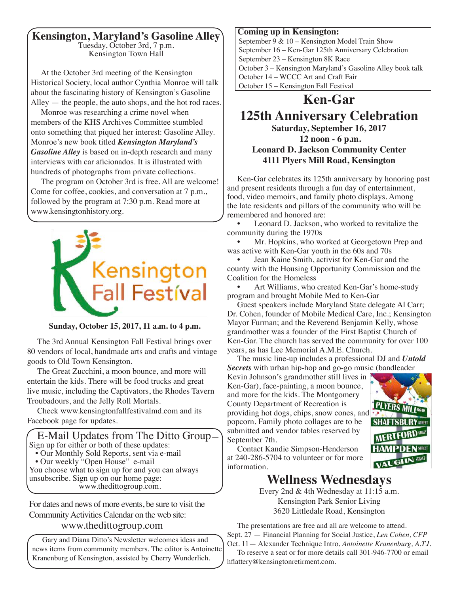### **Kensington, Maryland's Gasoline Alley**

Tuesday, October 3rd, 7 p.m. Kensington Town Hall

At the October 3rd meeting of the Kensington Historical Society, local author Cynthia Monroe will talk about the fascinating history of Kensington's Gasoline Alley — the people, the auto shops, and the hot rod races.

Monroe was researching a crime novel when members of the KHS Archives Committee stumbled onto something that piqued her interest: Gasoline Alley. Monroe's new book titled *Kensington Maryland's Gasoline Alley* is based on in-depth research and many interviews with car aficionados. It is illustrated with hundreds of photographs from private collections.

The program on October 3rd is free. All are welcome! Come for coffee, cookies, and conversation at 7 p.m., followed by the program at 7:30 p.m. Read more at www.kensingtonhistory.org.



**Sunday, October 15, 2017, 11 a.m. to 4 p.m.**

The 3rd Annual Kensington Fall Festival brings over 80 vendors of local, handmade arts and crafts and vintage goods to Old Town Kensington.

The Great Zucchini, a moon bounce, and more will entertain the kids. There will be food trucks and great live music, including the Captivators, the Rhodes Tavern Troubadours, and the Jelly Roll Mortals.

Check www.kensingtonfallfestivalmd.com and its Facebook page for updates.

 E-Mail Updates from The Ditto Group— Sign up for either or both of these updates: • Our Monthly Sold Reports, sent via e-mail • Our weekly "Open House" e-mail You choose what to sign up for and you can always

unsubscribe. Sign up on our home page: www.thedittogroup.com.

For dates and news of more events, be sure to visit the Community Activities Calendar on the web site:

### www.thedittogroup.com

Gary and Diana Ditto's Newsletter welcomes ideas and news items from community members. The editor is Antoinette Kranenburg of Kensington, assisted by Cherry Wunderlich.

#### **Coming up in Kensington:**

September 9 & 10 – Kensington Model Train Show September 16 – Ken-Gar 125th Anniversary Celebration September 23 – Kensington 8K Race October 3 – Kensington Maryland's Gasoline Alley book talk October 14 – WCCC Art and Craft Fair October 15 – Kensington Fall Festival

# **Ken-Gar**

### **125th Anniversary Celebration Saturday, September 16, 2017 12 noon - 6 p.m. Leonard D. Jackson Community Center 4111 Plyers Mill Road, Kensington**

Ken-Gar celebrates its 125th anniversary by honoring past and present residents through a fun day of entertainment, food, video memoirs, and family photo displays. Among the late residents and pillars of the community who will be remembered and honored are:

Leonard D. Jackson, who worked to revitalize the community during the 1970s

Mr. Hopkins, who worked at Georgetown Prep and was active with Ken-Gar youth in the 60s and 70s

• Jean Kaine Smith, activist for Ken-Gar and the county with the Housing Opportunity Commission and the Coalition for the Homeless

• Art Williams, who created Ken-Gar's home-study program and brought Mobile Med to Ken-Gar

Guest speakers include Maryland State delegate Al Carr; Dr. Cohen, founder of Mobile Medical Care, Inc.; Kensington Mayor Furman; and the Reverend Benjamin Kelly, whose grandmother was a founder of the First Baptist Church of Ken-Gar. The church has served the community for over 100 years, as has Lee Memorial A.M.E. Church.

The music line-up includes a professional DJ and *Untold Secrets* with urban hip-hop and go-go music (bandleader

Kevin Johnson's grandmother still lives in Ken-Gar), face-painting, a moon bounce, and more for the kids. The Montgomery County Department of Recreation is providing hot dogs, chips, snow cones, and popcorn. Family photo collages are to be submitted and vendor tables reserved by September 7th.



Contact Kandie Simpson-Henderson at 240-286-5704 to volunteer or for more information.

## **Wellness Wednesdays**

Every 2nd & 4th Wednesday at 11:15 a.m. Kensington Park Senior Living 3620 Littledale Road, Kensington

The presentations are free and all are welcome to attend. Sept. 27 — Financial Planning for Social Justice, *Len Cohen, CFP* Oct. 11— Alexander Technique Intro, *Antoinette Kranenburg, A.T.I.* To reserve a seat or for more details call 301-946-7700 or email

hflattery@kensingtonretirment.com.